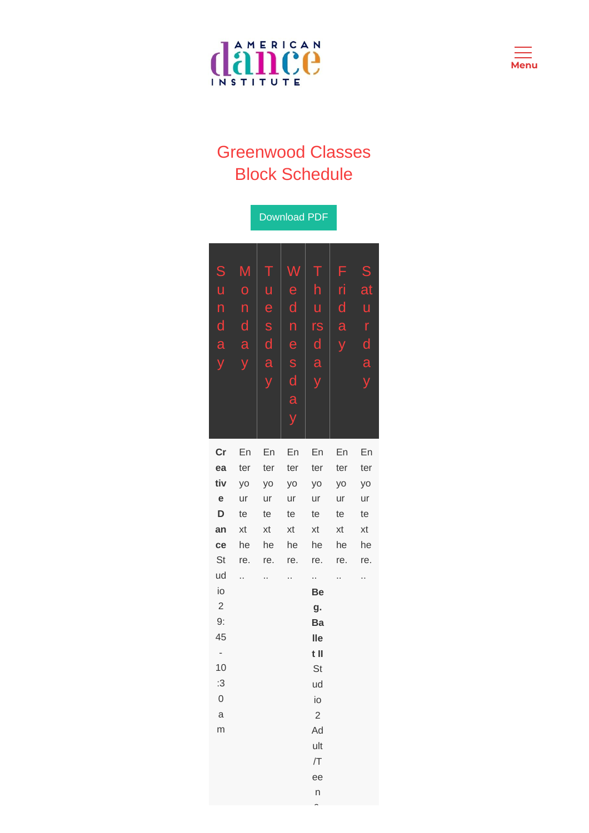



## Greenwood Classes Block Schedule

|                      |     |              | <b>Download PDF</b> |                  |     |              |
|----------------------|-----|--------------|---------------------|------------------|-----|--------------|
|                      |     |              |                     |                  |     |              |
|                      |     |              |                     |                  |     |              |
| S                    | Μ   | Τ            |                     | Т                | F   | S            |
| ū                    | Ó   | ū            | e                   | h                | ri  | at           |
| n                    | n   | e            | d                   | ū                | d   | ū            |
| $\mathsf{d}$         | d   | S            | n                   | rs               | a   | r            |
| a                    | a   | $\mathsf{d}$ | e                   | $\mathsf{d}$     |     | $\mathsf{d}$ |
| y                    |     | a            | S                   | $\overline{a}$   |     | a            |
|                      |     | y            | $\mathsf{d}$        | y                |     | y            |
|                      |     |              | a                   |                  |     |              |
|                      |     |              |                     |                  |     |              |
|                      |     |              |                     |                  |     |              |
| cr                   | En  | En           | En                  | En               | En  | En           |
| ea                   | ter | ter          | ter                 | ter              | ter | ter          |
| tiv                  | yo  | yo           | yo                  | yo               | yo  | yo           |
| e                    | ur  | ur           | ur                  | ur               | ur  | ur           |
| D                    | te  | te           | te                  | te               | te  | te           |
| an                   | xt  | xt           | xt                  | xt               | xt  | xt           |
| ce                   | he  | he           | he                  | he               | he  | he           |
| St                   | re. | re.          | re.                 | re.              | re. | re.          |
| ud                   | .,  | Ω,           |                     | .,               | Ω,  |              |
| io                   |     |              |                     | Be               |     |              |
| $\overline{c}$<br>9: |     |              |                     | g.               |     |              |
| 45                   |     |              |                     | Ba<br><b>lle</b> |     |              |
| -                    |     |              |                     | t II             |     |              |
| 10                   |     |              |                     | St               |     |              |
| :3                   |     |              |                     | ud               |     |              |
| 0                    |     |              |                     | io               |     |              |
| a                    |     |              |                     | $\overline{c}$   |     |              |
| m                    |     |              |                     | Ad               |     |              |
|                      |     |              |                     | ult              |     |              |
|                      |     |              |                     | /T               |     |              |
|                      |     |              |                     | ee               |     |              |
|                      |     |              |                     | n                |     |              |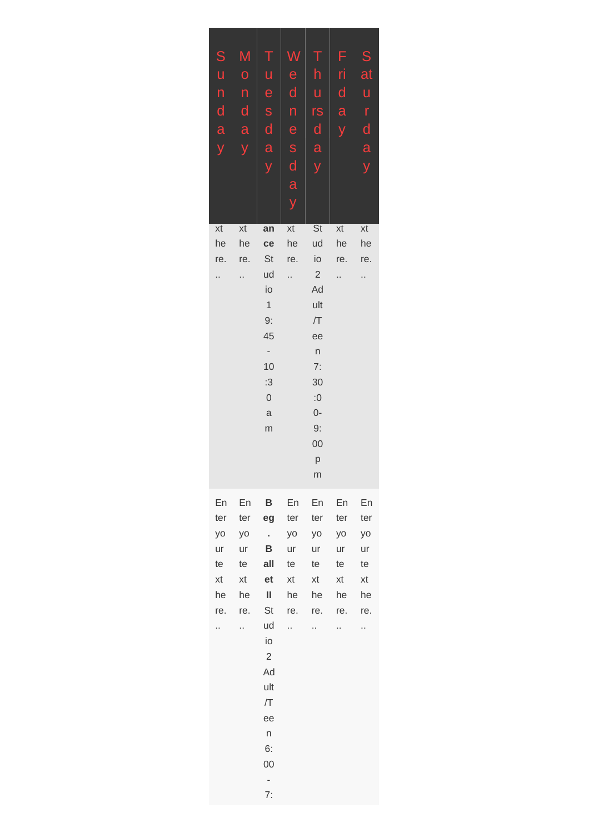| ${\mathsf S}$   | M            | $\Gamma$                 |              | Τ                    | F            | S            |
|-----------------|--------------|--------------------------|--------------|----------------------|--------------|--------------|
| U               | $\mathbf 0$  | ū                        | e            | h                    | ri           | at           |
| $\mathsf{n}$    | $\mathsf{n}$ | e                        | $\mathsf{d}$ | ū                    | $\mathsf{d}$ | u            |
| $\blacklozenge$ | $\mathsf{d}$ | S                        | n            | rs                   | a            | r            |
| $\mathbf{a}$    | a            | $\mathsf{d}$             | e            | $\mathbf{d}$         |              | $\mathsf{d}$ |
|                 |              | a                        | S            | a                    |              | a            |
|                 |              | У                        | $\mathsf{d}$ | y                    |              | y            |
|                 |              |                          | a            |                      |              |              |
|                 |              |                          | y            |                      |              |              |
| xt              | xt           | an                       | xt           | <b>St</b>            | xt           | xt           |
| he              | he           | ce                       | he           | ud                   | he           | he           |
| re.             | re.          | St                       | re.          | io                   | re.          | re.          |
|                 |              | ud<br>io                 |              | $\overline{c}$<br>Ad |              |              |
|                 |              | $\mathbf 1$              |              | ult                  |              |              |
|                 |              | 9:                       |              | /T                   |              |              |
|                 |              | 45                       |              | ee                   |              |              |
|                 |              | $\overline{\phantom{a}}$ |              | $\sf n$              |              |              |
|                 |              | 10<br>:3                 |              | 7:<br>30             |              |              |
|                 |              | $\mathbf 0$              |              | :0                   |              |              |
|                 |              | $\mathsf{a}$             |              | $0-$                 |              |              |
|                 |              | m                        |              | 9:                   |              |              |
|                 |              |                          |              | 00                   |              |              |
|                 |              |                          |              | р<br>m               |              |              |
|                 |              |                          |              |                      |              |              |
| En              | En           | $\mathbf{B}$             | En           | En                   | En           | En           |
| ter<br>yo       | ter<br>yo    | eg<br>$\sim$             | ter<br>yo    | ter<br>yo            | ter<br>yo    | ter<br>yo    |
| ur              | ur           | B                        | ur           | ur                   | ur           | ur           |
| te              | te           | all                      | te           | te                   | te           | te           |
| xt              | xt           | et                       | xt           | xt                   | xt           | xt           |
| he              | he           | Ш                        | he           | he                   | he           | he           |
| re.             | re.          | St<br>ud                 | re.<br>Ω,    | re.                  | re.          | re.          |
| .,              | Ω,           | io                       |              | Α                    | Ω,           | .,           |
|                 |              | $\overline{c}$           |              |                      |              |              |
|                 |              | Ad                       |              |                      |              |              |
|                 |              | ult                      |              |                      |              |              |
|                 |              | /T                       |              |                      |              |              |
|                 |              | ee<br>$\mathsf{n}$       |              |                      |              |              |
|                 |              | 6:                       |              |                      |              |              |
|                 |              | 00                       |              |                      |              |              |
|                 |              | -                        |              |                      |              |              |
|                 |              | 7:                       |              |                      |              |              |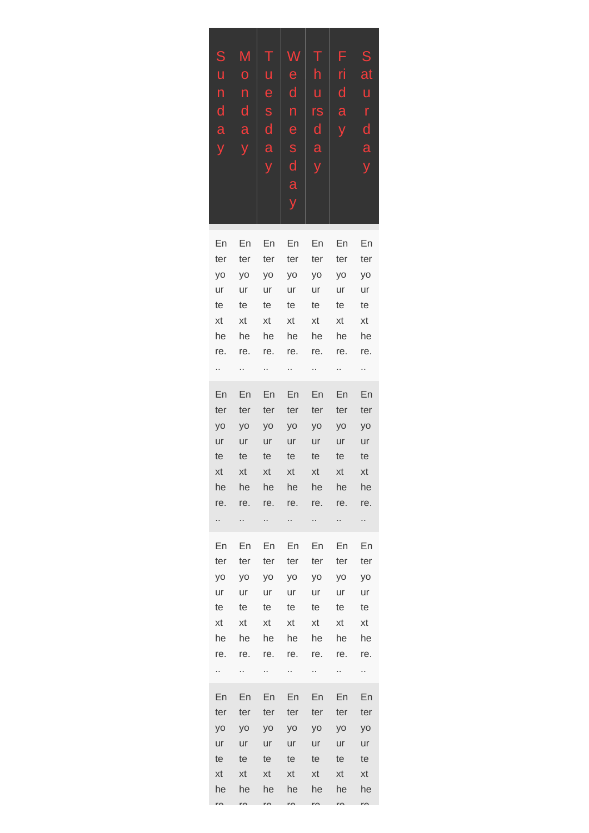| S                       | M              |              | T W          | $T_{-}$      | F              | S  |
|-------------------------|----------------|--------------|--------------|--------------|----------------|----|
| $\mathsf{u}$            | $\overline{O}$ | ū            | e.           | h            | ri.            | at |
| n                       | n              | $e -$        | $\mathsf{d}$ | $\mathsf{u}$ | $\mathsf{d}$   | ū  |
| $\mathsf{d}$            | $\mathsf{d}$   | S            | n            | rs           | a              | r  |
| a                       | a              | $\mathsf{d}$ | e            | $\mathsf{d}$ | $\overline{V}$ | d  |
| $\overline{\mathsf{V}}$ | V              | a            | S            | a            |                | a  |
|                         |                | V            | $\mathsf{d}$ | y            |                | ý  |
|                         |                |              | a            |              |                |    |
|                         |                |              |              |              |                |    |
|                         |                |              |              |              |                |    |

| En        | En  | En  | En             | En  | En             | En        |
|-----------|-----|-----|----------------|-----|----------------|-----------|
| ter       | ter | ter | ter            | ter | ter            | ter       |
| <b>yo</b> | yo  | yo  | yo             | yo  | yo             | yo        |
| ur        | ur  | ur  | ur             | ur  | ur             | ur        |
| te        | te  | te  | te             | te  | te             | te        |
| xt        | xt  | xt  | xt             | xt  | xt             | xt        |
| he        | he  | he  | he             | he  | he             | he        |
| re.       | re. | re. | re.            | re. | re.            | re.       |
| Ω,        | Ξ.  | Ω,  | Ω.             | ò.  | ò.             | Ц,        |
|           |     |     |                |     |                |           |
| En        | En  | En  | En             | En  | En             | En        |
| ter       | ter | ter | ter            | ter | ter            | ter       |
| <b>yo</b> | yo  | yo  | yo             | yo  | yo             | yo        |
| ur        | ur  | ur  | ur             | ur  | ur             | ur        |
| te        | te  | te  | te             | te  | te             | te        |
| xt        | xt  | xt  | xt             | xt  | xt             | xt        |
| he        | he  | he  | he             | he  | he             | he        |
| re.       | re. | re. | re.            | re. | re.            | re.       |
| .,        | .,  | н,  | .,             | н,  | н              | н,        |
| En        | En  | En  | En             | En  | En             | En        |
| ter       | ter | ter | ter            | ter | ter            | ter       |
| yo        | yo  | yo  | yo             | yo  | yo             | yo        |
| ur        | ur  | ur  | ur             | ur  | ur             | ur        |
| te        | te  | te  | te             | te  | te             | te        |
| xt        | xt  | xt  | xt             | xt  | xt             | xt        |
| he        | he  | he  | he             | he  | he             | he        |
| re.       |     |     |                |     |                |           |
| Ω,        | re. | re. | re.            | re. | re.            | re.       |
|           | .,  | ò,  | .,             | .,  | .,             | .,        |
|           |     |     |                |     |                |           |
| En        | En  | En  | En             | En  | En             | En        |
| ter       | ter | ter | ter            | ter | ter            | ter       |
| yo        | yo  | yo  | V <sub>O</sub> | yo  | V <sub>O</sub> | <b>yo</b> |
| ur        | ur  | ur  | ur             | ur  | ur             | ur        |
| te        | te  | te  | te             | te  | te             | te        |
| xt        | xt  | xt  | xt             | xt  | xt             | xt        |

re. me in in in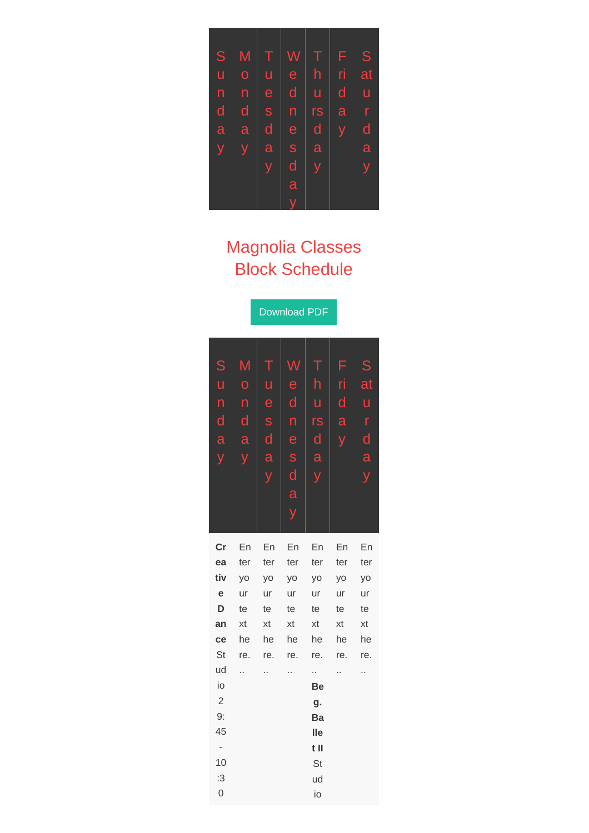

## Magnolia Classes Block Schedule

Download PDF

| $\mathsf S$<br>u<br>$\mathsf{n}$<br>d<br>a<br>ý | Μ<br>$\overline{O}$<br>n<br>$\mathsf{d}$<br>a<br>ÿ | Ţ<br>ū<br>e<br>S<br>$\blacklozenge$<br>a | e<br>d<br>n<br>e<br>S<br>d<br>a | T<br>h<br>ū<br>rs<br>$\mathsf{d}$<br>a | F<br>ri<br>d<br>a | S<br>at<br>u<br>r<br>d<br>a<br>y |
|-------------------------------------------------|----------------------------------------------------|------------------------------------------|---------------------------------|----------------------------------------|-------------------|----------------------------------|
|                                                 |                                                    |                                          | y                               |                                        |                   |                                  |
| cr                                              | En                                                 | En                                       | En                              | En                                     | En                | En                               |
| ea                                              | ter                                                | ter                                      | ter                             | ter                                    | ter               | ter                              |
| tiv                                             | yo                                                 | yo                                       | yo                              | yo                                     | yo                | yo                               |
| e                                               | ur                                                 | ur                                       | ur                              | ur                                     | ur                | ur                               |
| D                                               | te                                                 | te                                       | te                              | te                                     | te                | te                               |
| an                                              | xt                                                 | xt                                       | xt                              | xt                                     | xt                | xt                               |
| ce                                              | he                                                 | he                                       | he                              | he                                     | he                | he                               |
| St                                              | re.                                                | re.                                      | re.                             | re.                                    | re.               | re.                              |
| ud                                              | .,                                                 | .,                                       | .,                              | .,                                     | .,                | .,                               |
| io                                              |                                                    |                                          |                                 | <b>Be</b>                              |                   |                                  |
| $\overline{c}$                                  |                                                    |                                          |                                 | g.                                     |                   |                                  |
| 9:                                              |                                                    |                                          |                                 | Ba                                     |                   |                                  |
| 45                                              |                                                    |                                          |                                 | lle                                    |                   |                                  |
|                                                 |                                                    |                                          |                                 | $t$ II                                 |                   |                                  |
| 10                                              |                                                    |                                          |                                 | St                                     |                   |                                  |
| :3                                              |                                                    |                                          |                                 | ud                                     |                   |                                  |
| $\overline{0}$                                  |                                                    |                                          |                                 | io                                     |                   |                                  |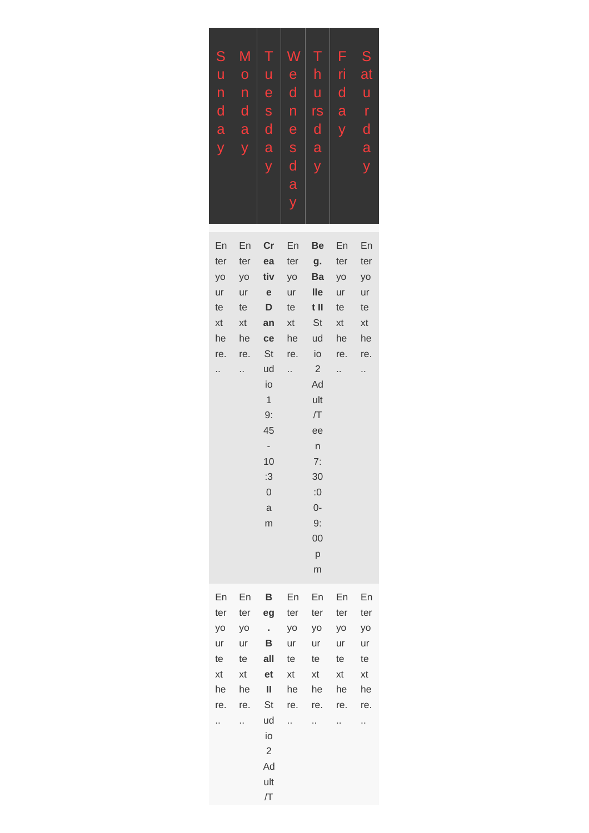| S                       | M                       | Τ            | W              | T.             | F            | $\mathsf S$             |
|-------------------------|-------------------------|--------------|----------------|----------------|--------------|-------------------------|
| ū                       | $\overline{O}$          | $\mathsf{u}$ | $\overline{e}$ | $\mathsf{h}$   | ri           | at                      |
| n                       | n                       | e            | $\mathsf{d}$   | $\overline{u}$ | $\mathsf{d}$ | ū                       |
| $\overline{\mathsf{d}}$ | $\mathsf{d}$            | S            | n              | rs             | a            | r                       |
| a                       | $\overline{a}$          | $\mathsf{d}$ | e              | $\mathsf{d}$   | V            | $\overline{\mathsf{d}}$ |
| $\overline{y}$          | $\overline{\mathsf{V}}$ | a            | S              | a              |              | a                       |
|                         |                         | V            | d              | ÿ              |              | V                       |
|                         |                         |              | a              |                |              |                         |
|                         |                         |              |                |                |              |                         |
|                         |                         |              |                |                |              |                         |

| En  | En  | cr                       | En                   | Be             | En  | En  |
|-----|-----|--------------------------|----------------------|----------------|-----|-----|
| ter | ter | ea                       | ter                  | g.             | ter | ter |
| yo  | yo  | tiv                      | yo                   | Ba             | yo  | yo  |
| ur  | ur  | ${\bf e}$                | ur                   | <b>Ile</b>     | ur  | ur  |
| te  | te  | D                        | te                   | t II           | te  | te  |
| xt  | xt  | an                       | xt                   | St             | xt  | xt  |
| he  | he  | ce                       | he                   | ud             | he  | he  |
| re. | re. | St                       | re.                  | io             | re. | re. |
| .,  | .,  | ud                       | $\ddot{\phantom{0}}$ | $\overline{2}$ | .,  | .,  |
|     |     | io                       |                      | Ad             |     |     |
|     |     | $\mathbf 1$              |                      | ult            |     |     |
|     |     | 9:                       |                      | /T             |     |     |
|     |     | 45                       |                      | ee             |     |     |
|     |     | $\overline{\phantom{m}}$ |                      | $\sf n$        |     |     |
|     |     | 10                       |                      | 7:             |     |     |
|     |     | :3                       |                      | 30             |     |     |
|     |     | $\mathsf{O}$             |                      | $:0$           |     |     |
|     |     | $\mathsf{a}$             |                      | $0-$           |     |     |
|     |     | m                        |                      | 9:             |     |     |
|     |     |                          |                      | 00             |     |     |
|     |     |                          |                      | p              |     |     |
|     |     |                          |                      | m              |     |     |
| En  | En  | B                        | En                   | En             | En  | En  |
| ter | ter | eg                       | ter                  | ter            | ter | ter |
| yo  | yo  | $\epsilon$               | yo                   | yo             | yo  | yo  |
| ur  | ur  | B                        | ur                   | ur             | ur  | ur  |
| te  | te  | all                      | te                   | te             | te  | te  |
| xt  | xt  | et                       | xt                   | xt             | xt  | xt  |
| he  | he  | Ш                        | he                   | he             | he  | he  |
| re. | re. | St                       | re.                  | re.            | re. | re. |
| .,  | Ω,  | ud                       | Ω.                   | .,             | Ω,  | .,  |
|     |     | io                       |                      |                |     |     |
|     |     | $\mathbf{2}$             |                      |                |     |     |
|     |     | Ad                       |                      |                |     |     |
|     |     | ult                      |                      |                |     |     |
|     |     | /T                       |                      |                |     |     |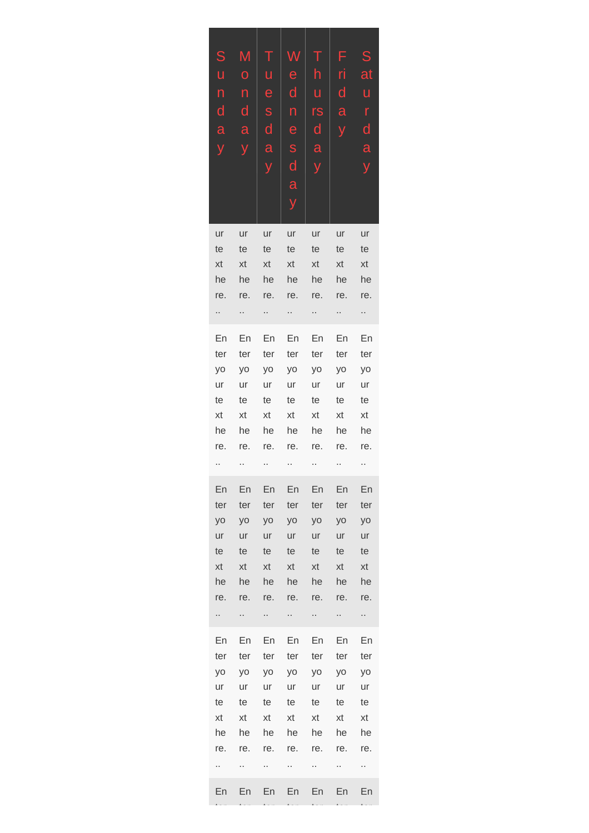| S<br>Ù<br>n<br>d<br>a             | M<br>O<br>n<br>d<br>a       | e<br>S<br>d<br>a                  | e<br>d<br>n<br>e<br>S<br>d<br>a   | ū<br>rs<br>d<br>a                 | F<br>ri<br>d<br>a                 | S<br>at<br>ū<br>r<br>$\mathsf{d}$<br>a |
|-----------------------------------|-----------------------------|-----------------------------------|-----------------------------------|-----------------------------------|-----------------------------------|----------------------------------------|
| ur<br>te<br>xt<br>he<br>re.<br>., | ur<br>te<br>xt<br>he<br>re. | ur<br>te<br>xt<br>he<br>re.<br>., | ur<br>te<br>xt<br>he<br>re.<br>., | ur<br>te<br>xt<br>he<br>re.<br>., | ur<br>te<br>xt<br>he<br>re.<br>., | ur<br>te<br>xt<br>he<br>re.<br>.,      |
| En                                | En                          | En                                | En                                | En                                | En                                | En                                     |
| ter                               | ter                         | ter                               | ter                               | ter                               | ter                               | ter                                    |
| yo                                | yo                          | yo                                | yo                                | yo                                | yo                                | yo                                     |
| ur                                | ur                          | ur                                | ur                                | ur                                | ur                                | ur                                     |
| te                                | te                          | te                                | te                                | te                                | te                                | te                                     |
| xt                                | xt                          | xt                                | xt                                | xt                                | xt                                | xt                                     |
| he                                | he                          | he                                | he                                | he                                | he                                | he                                     |
| re.                               | re.                         | re.                               | re.                               | re.                               | re.                               | re.                                    |
| .,                                | .,                          | .,                                | .,                                | .,                                | .,                                | .,                                     |
| En                                | En                          | En                                | En                                | En                                | En                                | En                                     |
| ter                               | ter                         | ter                               | ter                               | ter                               | ter                               | ter                                    |
| yo                                | yo                          | yo                                | yo                                | yo                                | yo                                | yo                                     |
| ur                                | ur                          | ur                                | ur                                | ur                                | ur                                | ur                                     |
| te                                | te                          | te                                | te                                | te                                | te                                | te                                     |
| xt                                | xt                          | xt                                | xt                                | xt                                | xt                                | xt                                     |
| he                                | he                          | he                                | he                                | he                                | he                                | he                                     |
| re.                               | re.                         | re.                               | re.                               | re.                               | re.                               | re.                                    |
| ä,                                | Ω,                          | Ω,                                | . .                               | .,                                | Ω,                                | Ω,                                     |
| En                                | En                          | En                                | En                                | En                                | En                                | En                                     |
| ter                               | ter                         | ter                               | ter                               | ter                               | ter                               | ter                                    |
| yo                                | yo                          | yo                                | yo                                | yo                                | yo                                | yo                                     |
| ur                                | ur                          | ur                                | ur                                | ur                                | ur                                | ur                                     |
| te                                | te                          | te                                | te                                | te                                | te                                | te                                     |
| xt                                | xt                          | xt                                | xt                                | xt                                | xt                                | xt                                     |
| he                                | he                          | he                                | he                                | he                                | he                                | he                                     |
| re.                               | re.                         | re.                               | re.                               | re.                               | re.                               | re.                                    |
| .,                                | .,                          | н.                                | н.                                | Ω,                                | н,                                | н,                                     |
| En                                | En                          | En                                | En                                | En                                | En                                | En                                     |

ter

ter

ter

ter

ter

ter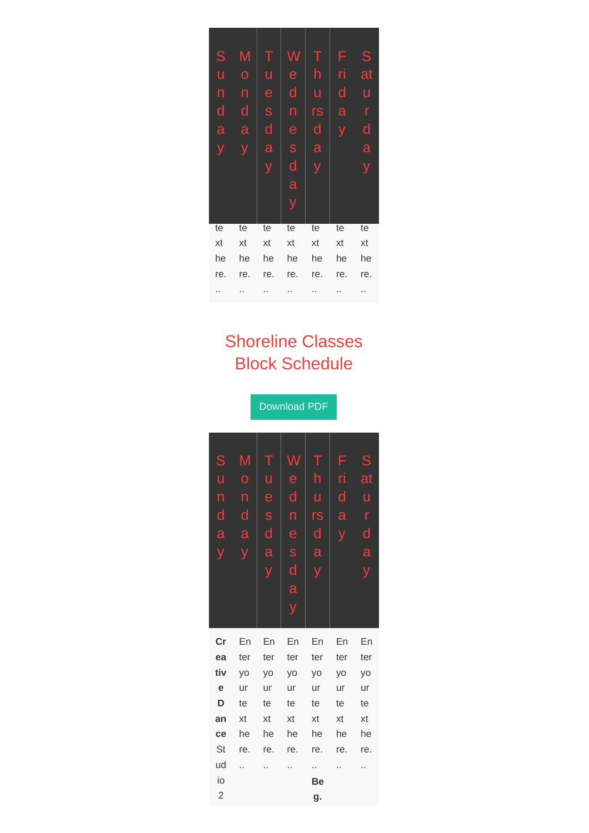| S   | M   |                         | W   | Т   | F   | S   |
|-----|-----|-------------------------|-----|-----|-----|-----|
| ū   | Ō   | u                       | è   | h   | ri  | at  |
| n   | n   | e                       | d   | ū   | d   | ū   |
| d   | d   | S                       | n   | rs  | a   | r   |
| a   | a   | $\overline{\mathsf{d}}$ | e   | d   |     | d   |
|     |     | a                       | S   | a   |     | a   |
|     |     |                         | d   | V   |     |     |
|     |     |                         | a   |     |     |     |
|     |     |                         | У   |     |     |     |
|     |     |                         |     |     |     |     |
| te  | te  | te                      | te  | te  | te  | te  |
| xt  | xt  | xt                      | xt  | xt  | xt  | xt  |
| he  | he  | he                      | he  | he  | he  | he  |
| re. | re. | re.                     | re. | re. | re. | re. |
|     |     |                         |     |     |     |     |

## Shoreline Classes Block Schedule

Download PDF

M n e d s a d d u n rs **Cr ea tiv e D an ce** St ud io 2 En ter yo ur te xt he re. .. En ter yo ur te xt he re. .. En ter yo ur te xt he re. .. En ter yo ur te xt he re. .. **Be g.** En ter yo ur te xt he re. .. En ter yo ur te xt he re. ..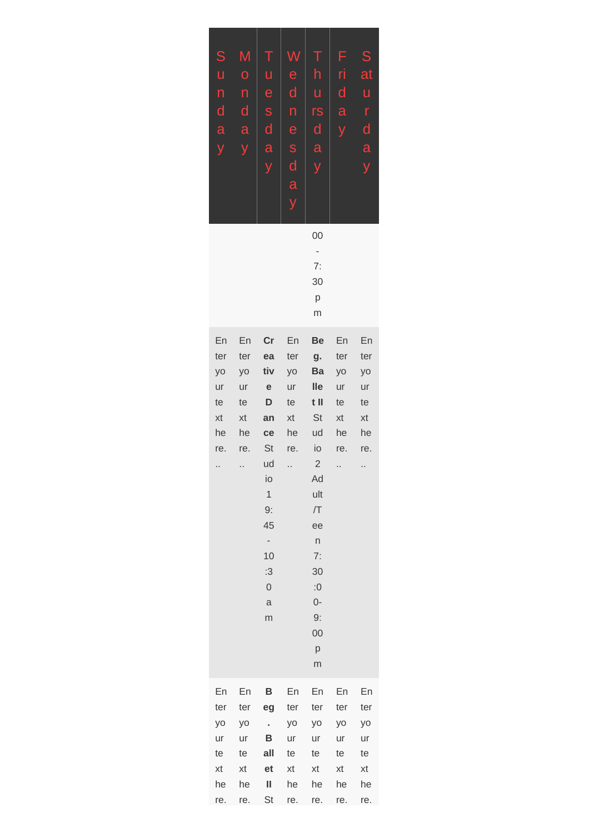| ${\mathsf S}$<br>U<br>$\mathsf{n}$<br>$\mathsf{d}$<br>a<br>ÿ | Μ<br>$\mathbf 0$<br>n<br>$\mathsf{d}$<br>a           | Τ<br>u<br>e<br>S<br>$\mathsf{d}$<br>a<br>y                                                                                                          | e<br>$\mathsf{d}$<br>$\mathsf{n}$<br>e<br>S<br>$\mathsf{d}$<br>a | h<br>ū<br>rs<br>$\mathsf{d}$<br>a<br>y                                                                                                          | F<br>ri<br>$\mathsf{d}$<br>a                         | ${\mathsf S}$<br>at<br>u<br>$\mathsf{r}$<br>$\mathsf{d}$<br>a |
|--------------------------------------------------------------|------------------------------------------------------|-----------------------------------------------------------------------------------------------------------------------------------------------------|------------------------------------------------------------------|-------------------------------------------------------------------------------------------------------------------------------------------------|------------------------------------------------------|---------------------------------------------------------------|
|                                                              |                                                      |                                                                                                                                                     |                                                                  | 00<br>$\overline{\phantom{a}}$<br>7:<br>30<br>p<br>m                                                                                            |                                                      |                                                               |
| En<br>ter<br>yo<br>ur<br>te<br>xt<br>he<br>re.<br>           | En<br>ter<br>yo<br>ur<br>te<br>xt<br>he<br>re.<br>., | cr<br>ea<br>tiv<br>${\bf e}$<br>D<br>an<br>ce<br>St<br>ud<br>İО<br>$\mathbf 1$<br>9:<br>45<br>-<br>10<br>:3<br>$\mathsf{O}\xspace$<br>$\rm{a}$<br>m | En<br>ter<br>yo<br>ur<br>te<br>xt<br>he<br>re.<br>.,             | Be<br>g.<br>Ba<br>lle<br>t II<br>St<br>ud<br>io<br>$\overline{2}$<br>Ad<br>ult<br>/T<br>ee<br>n<br>7:<br>30<br>:0<br>$0-$<br>9:<br>00<br>p<br>m | En<br>ter<br>yo<br>ur<br>te<br>xt<br>he<br>re.<br>., | En<br>ter<br>yo<br>ur<br>te<br>xt<br>he<br>re.<br>.,          |
| En<br>ter<br>yo<br>ur<br>te<br>xt<br>he<br>re.               | En<br>ter<br>yo<br>ur<br>te<br>xt<br>he<br>re.       | B<br>eg<br>$\mathbf{r}$<br>в<br>all<br>et<br>Ш<br>St                                                                                                | En<br>ter<br>yo<br>ur<br>te<br>xt<br>he<br>re.                   | En<br>ter<br>yo<br>ur<br>te<br>xt<br>he<br>re.                                                                                                  | En<br>ter<br>yo<br>ur<br>te<br>xt<br>he<br>re.       | En<br>ter<br>yo<br>ur<br>te<br>xt<br>he<br>re.                |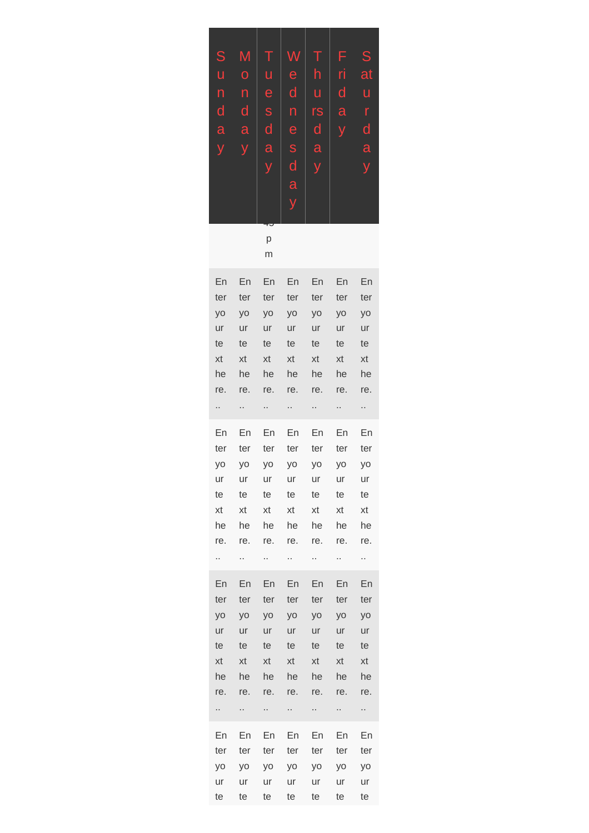| S            | M              | Τ            | W            | $\top$                  | F            | S                       |
|--------------|----------------|--------------|--------------|-------------------------|--------------|-------------------------|
| ū            | $\overline{O}$ | ū            | e            | h                       | ri           | at                      |
| n            | n              | e            | $\mathsf{d}$ | ū                       | $\mathsf{d}$ | ū                       |
| $\mathsf{d}$ | d              | S            | n            | rs                      | a            | r                       |
| a            | a              | $\mathsf{d}$ | e            | $\mathsf{d}$            | V            | $\overline{\mathsf{d}}$ |
| ٧            | V              | a            | S            | $\overline{a}$          |              | a                       |
|              |                | V            | $\mathsf{d}$ | $\overline{\mathsf{y}}$ |              | V                       |
|              |                |              | a            |                         |              |                         |
|              |                |              |              |                         |              |                         |
|              |                | ∓ਹ           |              |                         |              |                         |

p m

| En        | En     | En               | En             | En             | En             | En      |
|-----------|--------|------------------|----------------|----------------|----------------|---------|
| ter       | ter    | ter              | ter            | ter            | ter            | ter     |
| yo        | yo     | yo               | yo             | yo             | yo             | yo      |
| ur        | ur     | ur               | ur             | ur             | ur             | ur      |
| te        | te     | te               | te             | te             | te             | te      |
| xt        | xt     | xt               | xt             | xt             | xt             | xt      |
| he        | he     | he               | he             | he             | he             | he      |
| re.       | re.    | re.              | re.            | re.            | re.            | re.     |
| .,        |        | .,               | .,             | н,             | Α              | Α       |
| En        | En     | En               | En             | En             | En             | En      |
| ter       | ter    | ter              | ter            | ter            | ter            | ter     |
| yo        | yo     | yo               | yo             | yo             | yo             | yo      |
| ur        | ur     | ur               | ur             | ur             | ur             | ur      |
| te        | te     | te               | te             | te             | te             | te      |
| xt        | xt     | xt               | xt             | xt             | xt             | xt      |
| he        | he     | he               | he             | he             | he             | he      |
| re.       | re.    | re.              | re.            | re.            | re.            | re.     |
| Ω         | н.     | ò.               |                | u,             | ò.             | Ω,      |
| En        | En     | En               | En             | En             | En             | En      |
| ter       | ter    | ter              | ter            | ter            | ter            | ter     |
| yo        | yo     | yo               | yo             | yo             | yo             | yo      |
| ur        | ur     | ur               | ur             | ur             | ur             | ur      |
| te        | te     | te               | te             | te             | te             | te      |
| xt        | xt     | xt               | xt             | xt             | xt             | xt      |
| he        | he     | he               | he             | he             | he             | he      |
| re.       | re.    | re.              | re.            | re.            | re.            | re.     |
| .         | $\sim$ | <b>ARCHITECT</b> | $\sim$         | <b>COLLEGE</b> | $\sim 10^{-1}$ | <b></b> |
| En        | En     | En               | En             | En             | En             | En      |
| ter       | ter    | ter              | ter            | ter            | ter            | ter     |
| <b>yo</b> | yo     | VO               | V <sub>O</sub> | yo             | yo             | yo      |
| ur        | ur     | ur               | ur             | ur             | ur             | ur      |
| te        | te     | te               | te             | te             | te             | te      |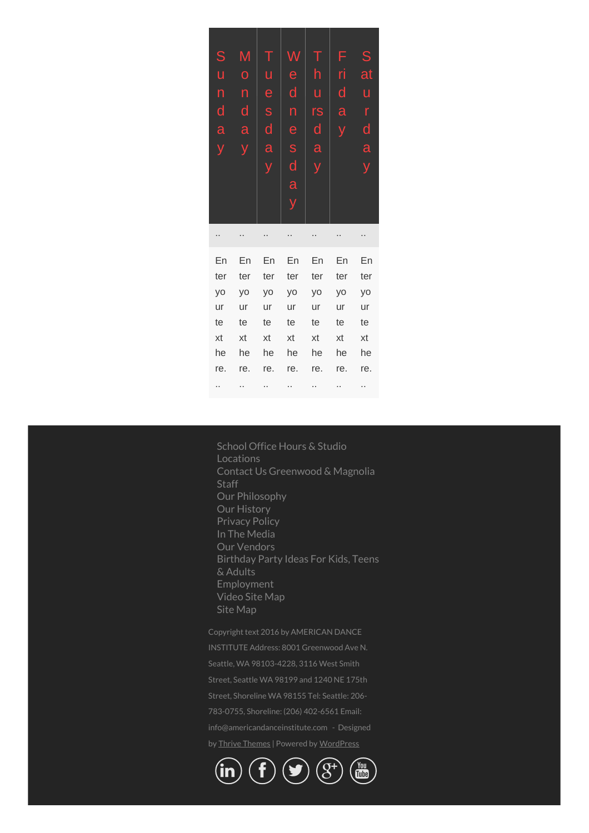| S   | Μ   |              |                                  |                         | F   | S   |
|-----|-----|--------------|----------------------------------|-------------------------|-----|-----|
| ū   | Ō   | ū            | e                                | h                       | ri  | at  |
| n   | n   | e            | d                                | ū                       | d   | ū   |
| d   | d   | S            | n                                | rs                      | a   | r   |
| a   | a   | $\mathsf{d}$ | e                                | $\overline{\mathsf{d}}$ | ÿ   | d   |
| y   |     | a            | S                                | a                       |     | a   |
|     |     | y            | $\mathsf{d}% _{l}(a)=\mathsf{d}$ | ÿ                       |     | ý   |
|     |     |              | $\overline{\mathbf{a}}$          |                         |     |     |
|     |     |              | ÿ                                |                         |     |     |
|     |     |              |                                  |                         |     |     |
|     |     |              |                                  |                         |     |     |
|     |     |              |                                  |                         |     |     |
| En  | En  | En           | En                               | En                      | En  | En  |
| ter | ter | ter          | ter                              | ter                     | ter | ter |
| yo  | yo  | yo           | yo                               | yo                      | yo  | yo  |
| ur  | ur  | ur           | ur                               | ur                      | ur  | ur  |
| te  | te  | te           | te                               | te                      | te  | te  |
| xt  | xt  | xt           | xt                               | xt                      | xt  | xt  |
| he  | he  | he           | he                               | he                      | he  | he  |
| re. | re. | re.          | re.                              | re.                     | re. | re. |

School Office Hours & Studio [Locations](https://www.americandanceinstitute.com/school-office-hours-studio-locations/) Contact Us [Greenwood](https://www.americandanceinstitute.com/contact-us-greenwood-magnolia/) & Magnolia **[Staff](https://www.americandanceinstitute.com/staff/)** Our [Philosophy](https://www.americandanceinstitute.com/dance-school-philosophy/) Our [History](https://www.americandanceinstitute.com/our-history/) [Privacy](https://www.americandanceinstitute.com/privacy-policy-2/) Policy In The [Media](https://www.americandanceinstitute.com/media/) Our [Vendors](https://www.americandanceinstitute.com/our-vendors/) [Birthday](https://www.americandanceinstitute.com/birthday-parties-children/) Party Ideas For Kids, Teens & Adults [Employment](https://www.americandanceinstitute.com/employment/) [Video](https://www.americandanceinstitute.com/site-map/) Site Map Site [Map](https://www.americandanceinstitute.com/site-map/)

Copyright text 2016 by AMERICAN DANCE INSTITUTE Address: 8001 Greenwood Ave N. Seattle, WA 98103-4228, 3116 West Smith Street, Seattle WA 98199 and 1240 NE 175th 783-0755, Shoreline: (206) 402-6561 Email: info@americandanceinstitute.com - Designed by Thrive [Themes](https://www.thrivethemes.com) | Powered by [WordPress](https://www.wordpress.org)